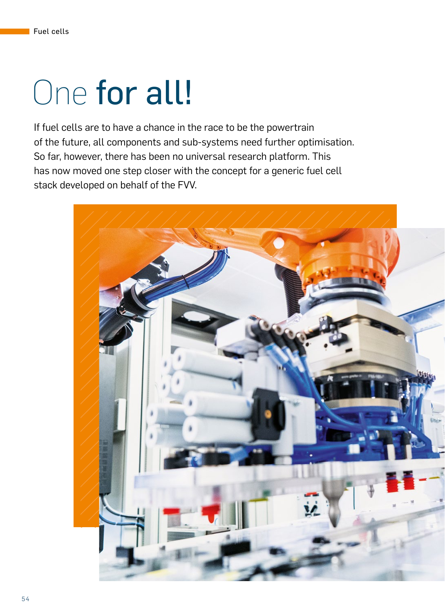## One for all!

If fuel cells are to have a chance in the race to be the powertrain of the future, all components and sub-systems need further optimisation. So far, however, there has been no universal research platform. This has now moved one step closer with the concept for a generic fuel cell stack developed on behalf of the FVV.

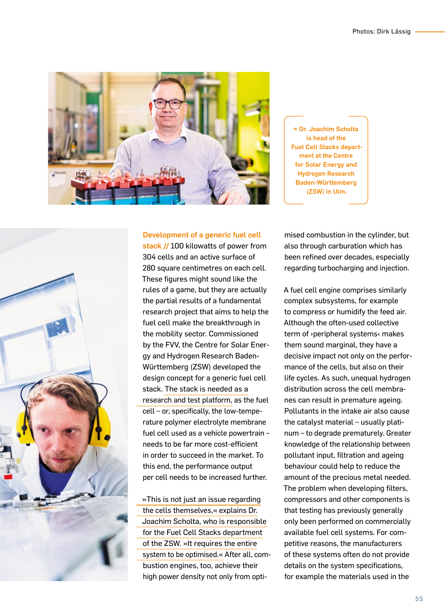

→ Dr. Joachim Scholta is head of the Fuel Cell Stacks department at the Centre for Solar Energy and Hydrogen Research Baden-Württemberg (ZSW) in Ulm.



## Development of a generic fuel cell

stack**||** 100 kilowatts of power from 304 cells and an active surface of 280 square centimetres on each cell. These figures might sound like the rules of a game, but they are actually the partial results of a fundamental research project that aims to help the fuel cell make the breakthrough in the mobility sector. Commissioned by the FVV, the Centre for Solar Energy and Hydrogen Research Baden-Württemberg (ZSW) developed the design concept for a generic fuel cell stack. The stack is needed as a research and test platform, as the fuel cell – or, specifically, the low-temperature polymer electrolyte membrane fuel cell used as a vehicle powertrain – needs to be far more cost-efficient in order to succeed in the market. To this end, the performance output per cell needs to be increased further.

»This is not just an issue regarding the cells themselves,« explains Dr. Joachim Scholta, who is responsible for the Fuel Cell Stacks department of the ZSW. »It requires the entire system to be optimised.« After all, combustion engines, too, achieve their high power density not only from opti-

mised combustion in the cylinder, but also through carburation which has been refined over decades, especially regarding turbocharging and injection.

A fuel cell engine comprises similarly complex subsystems, for example to compress or humidify the feed air. Although the often-used collective term of ›peripheral systems‹ makes them sound marginal, they have a decisive impact not only on the performance of the cells, but also on their life cycles. As such, unequal hydrogen distribution across the cell membranes can result in premature ageing. Pollutants in the intake air also cause the catalyst material – usually platinum – to degrade prematurely. Greater knowledge of the relationship between pollutant input, filtration and ageing behaviour could help to reduce the amount of the precious metal needed. The problem when developing filters, compressors and other components is that testing has previously generally only been performed on commercially available fuel cell systems. For competitive reasons, the manufacturers of these systems often do not provide details on the system specifications, for example the materials used in the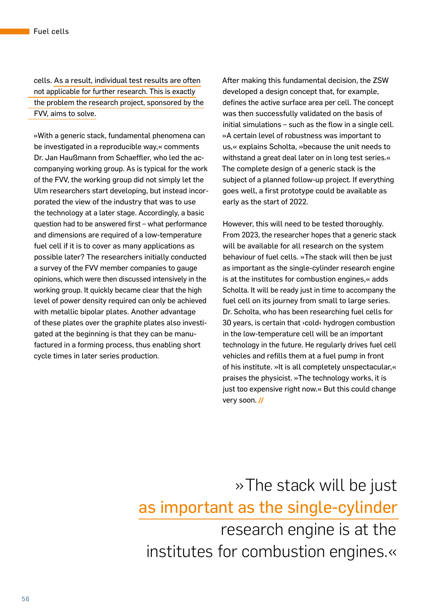cells. As a result, individual test results are often not applicable for further research. This is exactly the problem the research project, sponsored by the FVV, aims to solve.

»With a generic stack, fundamental phenomena can be investigated in a reproducible way,« comments Dr. Jan Haußmann from Schaeffler, who led the accompanying working group. As is typical for the work of the FVV, the working group did not simply let the Ulm researchers start developing, but instead incorporated the view of the industry that was to use the technology at a later stage. Accordingly, a basic question had to be answered first – what performance and dimensions are required of a low-temperature fuel cell if it is to cover as many applications as possible later? The researchers initially conducted a survey of the FVV member companies to gauge opinions, which were then discussed intensively in the working group. It quickly became clear that the high level of power density required can only be achieved with metallic bipolar plates. Another advantage of these plates over the graphite plates also investigated at the beginning is that they can be manufactured in a forming process, thus enabling short cycle times in later series production.

After making this fundamental decision, the ZSW developed a design concept that, for example, defines the active surface area per cell. The concept was then successfully validated on the basis of initial simulations – such as the flow in a single cell. »A certain level of robustness was important to us,« explains Scholta, »because the unit needs to withstand a great deal later on in long test series.« The complete design of a generic stack is the subject of a planned follow-up project. If everything goes well, a first prototype could be available as early as the start of 2022.

However, this will need to be tested thoroughly. From 2023, the researcher hopes that a generic stack will be available for all research on the system behaviour of fuel cells. »The stack will then be just as important as the single-cylinder research engine is at the institutes for combustion engines,« adds Scholta. It will be ready just in time to accompany the fuel cell on its journey from small to large series. Dr. Scholta, who has been researching fuel cells for 30 years, is certain that ›cold‹ hydrogen combustion in the low-temperature cell will be an important technology in the future. He regularly drives fuel cell vehicles and refills them at a fuel pump in front of his institute. »It is all completely unspectacular,« praises the physicist. »The technology works, it is just too expensive right now.« But this could change very soon.**||**

»The stack will be just as important as the single-cylinder research engine is at the institutes for combustion engines.«